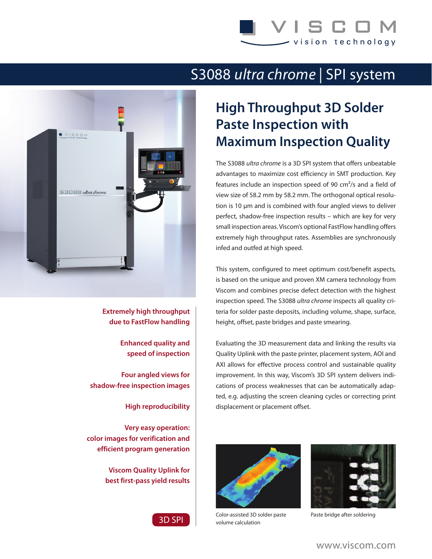**ISCO** vision technology

## S3088 *ultra chrome* | SPI system



**Extremely high throughput due to FastFlow handling**

> **Enhanced quality and speed of inspection**

**Four angled views for shadow-free inspection images**

**High reproducibility**

**Very easy operation: color images for verification and efficient program generation**

> **Viscom Quality Uplink for best first-pass yield results**



## **High Throughput 3D Solder Paste Inspection with Maximum Inspection Quality**

The S3088 *ultra chrome* is a 3D SPI system that offers unbeatable advantages to maximize cost efficiency in SMT production. Key features include an inspection speed of 90  $cm<sup>2</sup>/s$  and a field of view size of 58.2 mm by 58.2 mm. The orthogonal optical resolution is 10 μm and is combined with four angled views to deliver perfect, shadow-free inspection results – which are key for very small inspection areas. Viscom's optional FastFlow handling offers extremely high throughput rates. Assemblies are synchronously infed and outfed at high speed.

This system, configured to meet optimum cost/benefit aspects, is based on the unique and proven XM camera technology from Viscom and combines precise defect detection with the highest inspection speed. The S3088 *ultra chrome* inspects all quality criteria for solder paste deposits, including volume, shape, surface, height, offset, paste bridges and paste smearing.

Evaluating the 3D measurement data and linking the results via Quality Uplink with the paste printer, placement system, AOI and AXI allows for effective process control and sustainable quality improvement. In this way, Viscom's 3D SPI system delivers indications of process weaknesses that can be automatically adapted, e.g. adjusting the screen cleaning cycles or correcting print displacement or placement offset.



Color-assisted 3D solder paste volume calculation



Paste bridge after soldering